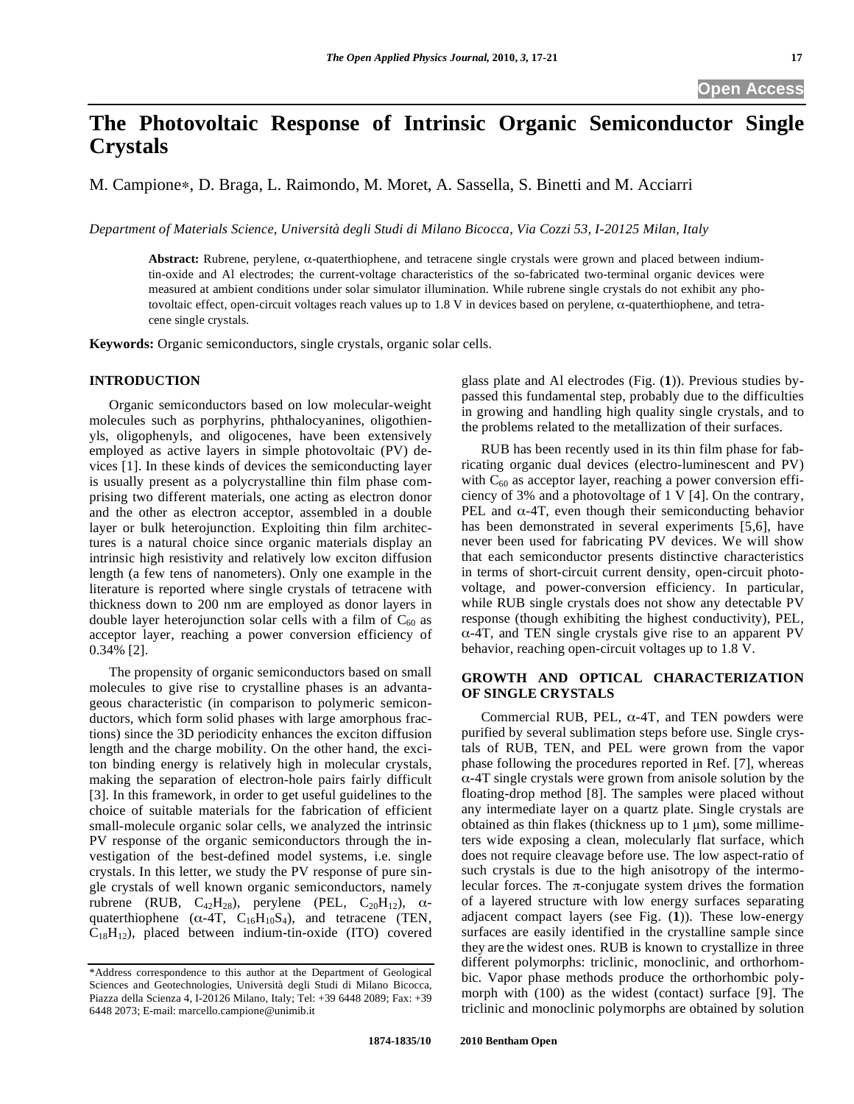# **The Photovoltaic Response of Intrinsic Organic Semiconductor Single Crystals**

M. Campione\*, D. Braga, L. Raimondo, M. Moret, A. Sassella, S. Binetti and M. Acciarri

*Department of Materials Science, Università degli Studi di Milano Bicocca, Via Cozzi 53, I-20125 Milan, Italy* 

Abstract: Rubrene, perylene, α-quaterthiophene, and tetracene single crystals were grown and placed between indiumtin-oxide and Al electrodes; the current-voltage characteristics of the so-fabricated two-terminal organic devices were measured at ambient conditions under solar simulator illumination. While rubrene single crystals do not exhibit any photovoltaic effect, open-circuit voltages reach values up to 1.8 V in devices based on perylene,  $\alpha$ -quaterthiophene, and tetracene single crystals.

**Keywords:** Organic semiconductors, single crystals, organic solar cells.

# **INTRODUCTION**

Organic semiconductors based on low molecular-weight molecules such as porphyrins, phthalocyanines, oligothienyls, oligophenyls, and oligocenes, have been extensively employed as active layers in simple photovoltaic (PV) devices [1]. In these kinds of devices the semiconducting layer is usually present as a polycrystalline thin film phase comprising two different materials, one acting as electron donor and the other as electron acceptor, assembled in a double layer or bulk heterojunction. Exploiting thin film architectures is a natural choice since organic materials display an intrinsic high resistivity and relatively low exciton diffusion length (a few tens of nanometers). Only one example in the literature is reported where single crystals of tetracene with thickness down to 200 nm are employed as donor layers in double layer heterojunction solar cells with a film of  $C_{60}$  as acceptor layer, reaching a power conversion efficiency of 0.34% [2].

The propensity of organic semiconductors based on small molecules to give rise to crystalline phases is an advantageous characteristic (in comparison to polymeric semiconductors, which form solid phases with large amorphous fractions) since the 3D periodicity enhances the exciton diffusion length and the charge mobility. On the other hand, the exciton binding energy is relatively high in molecular crystals, making the separation of electron-hole pairs fairly difficult [3]. In this framework, in order to get useful guidelines to the choice of suitable materials for the fabrication of efficient small-molecule organic solar cells, we analyzed the intrinsic PV response of the organic semiconductors through the investigation of the best-defined model systems, i.e. single crystals. In this letter, we study the PV response of pure single crystals of well known organic semiconductors, namely rubrene (RUB,  $C_{42}H_{28}$ ), perylene (PEL,  $C_{20}H_{12}$ ),  $\alpha$ quaterthiophene ( $\alpha$ -4T, C<sub>16</sub>H<sub>10</sub>S<sub>4</sub>), and tetracene (TEN,  $C_{18}H_{12}$ ), placed between indium-tin-oxide (ITO) covered

glass plate and Al electrodes (Fig. (**1**)). Previous studies bypassed this fundamental step, probably due to the difficulties in growing and handling high quality single crystals, and to the problems related to the metallization of their surfaces.

RUB has been recently used in its thin film phase for fabricating organic dual devices (electro-luminescent and PV) with  $C_{60}$  as acceptor layer, reaching a power conversion efficiency of 3% and a photovoltage of 1 V [4]. On the contrary, PEL and  $\alpha$ -4T, even though their semiconducting behavior has been demonstrated in several experiments [5,6], have never been used for fabricating PV devices. We will show that each semiconductor presents distinctive characteristics in terms of short-circuit current density, open-circuit photovoltage, and power-conversion efficiency. In particular, while RUB single crystals does not show any detectable PV response (though exhibiting the highest conductivity), PEL,  $\alpha$ -4T, and TEN single crystals give rise to an apparent PV behavior, reaching open-circuit voltages up to 1.8 V.

# **GROWTH AND OPTICAL CHARACTERIZATION OF SINGLE CRYSTALS**

Commercial RUB, PEL,  $\alpha$ -4T, and TEN powders were purified by several sublimation steps before use. Single crystals of RUB, TEN, and PEL were grown from the vapor phase following the procedures reported in Ref. [7], whereas  $\alpha$ -4T single crystals were grown from anisole solution by the floating-drop method [8]. The samples were placed without any intermediate layer on a quartz plate. Single crystals are obtained as thin flakes (thickness up to  $1 \mu m$ ), some millimeters wide exposing a clean, molecularly flat surface, which does not require cleavage before use. The low aspect-ratio of such crystals is due to the high anisotropy of the intermolecular forces. The  $\pi$ -conjugate system drives the formation of a layered structure with low energy surfaces separating adjacent compact layers (see Fig. (**1**)). These low-energy surfaces are easily identified in the crystalline sample since they are the widest ones. RUB is known to crystallize in three different polymorphs: triclinic, monoclinic, and orthorhombic. Vapor phase methods produce the orthorhombic polymorph with (100) as the widest (contact) surface [9]. The triclinic and monoclinic polymorphs are obtained by solution

<sup>\*</sup>Address correspondence to this author at the Department of Geological Sciences and Geotechnologies, Università degli Studi di Milano Bicocca, Piazza della Scienza 4, I-20126 Milano, Italy; Tel: +39 6448 2089; Fax: +39 6448 2073; E-mail: marcello.campione@unimib.it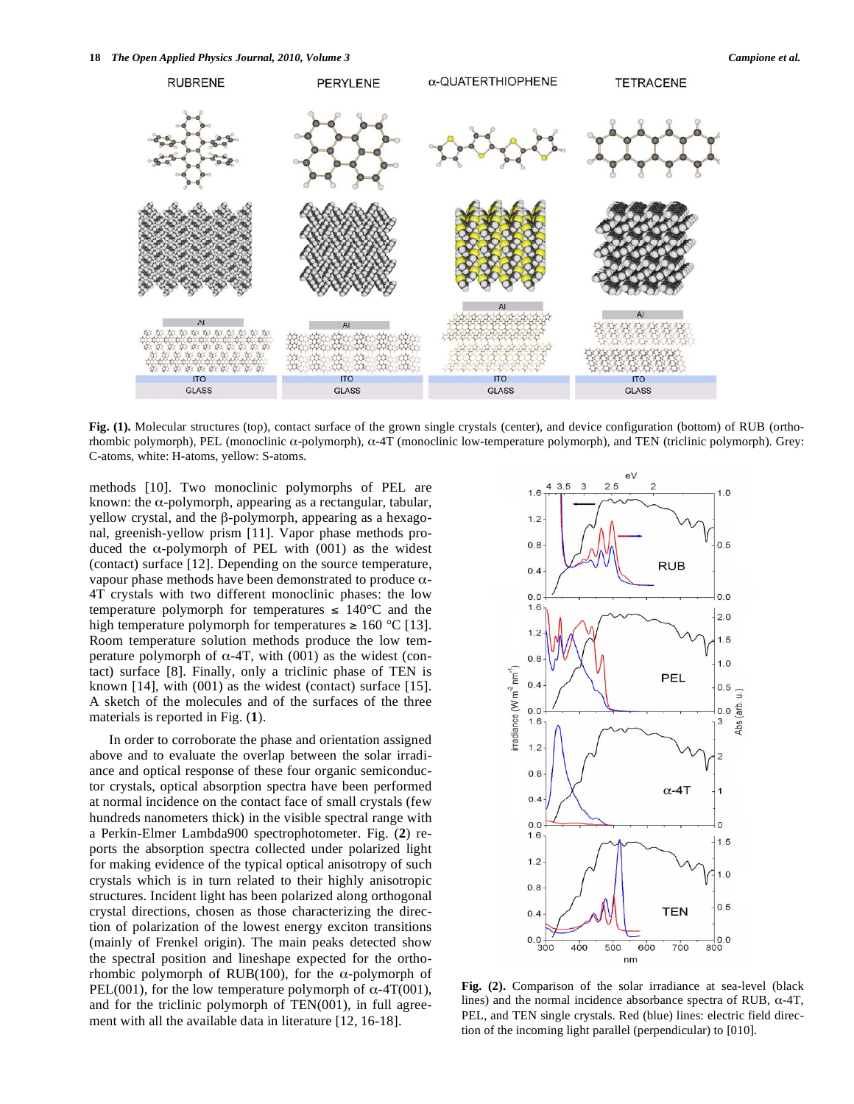

**Fig. (1).** Molecular structures (top), contact surface of the grown single crystals (center), and device configuration (bottom) of RUB (orthorhombic polymorph), PEL (monoclinic  $\alpha$ -polymorph),  $\alpha$ -4T (monoclinic low-temperature polymorph), and TEN (triclinic polymorph). Grey: C-atoms, white: H-atoms, yellow: S-atoms.

methods [10]. Two monoclinic polymorphs of PEL are known: the  $\alpha$ -polymorph, appearing as a rectangular, tabular, yellow crystal, and the  $\beta$ -polymorph, appearing as a hexagonal, greenish-yellow prism [11]. Vapor phase methods produced the  $\alpha$ -polymorph of PEL with (001) as the widest (contact) surface [12]. Depending on the source temperature, vapour phase methods have been demonstrated to produce  $\alpha$ -4T crystals with two different monoclinic phases: the low temperature polymorph for temperatures  $\leq 140^{\circ}$ C and the high temperature polymorph for temperatures  $\geq 160$  °C [13]. Room temperature solution methods produce the low temperature polymorph of  $\alpha$ -4T, with (001) as the widest (contact) surface [8]. Finally, only a triclinic phase of TEN is known  $[14]$ , with  $(001)$  as the widest (contact) surface  $[15]$ . A sketch of the molecules and of the surfaces of the three materials is reported in Fig. (**1**).

In order to corroborate the phase and orientation assigned above and to evaluate the overlap between the solar irradiance and optical response of these four organic semiconductor crystals, optical absorption spectra have been performed at normal incidence on the contact face of small crystals (few hundreds nanometers thick) in the visible spectral range with a Perkin-Elmer Lambda900 spectrophotometer. Fig. (**2**) reports the absorption spectra collected under polarized light for making evidence of the typical optical anisotropy of such crystals which is in turn related to their highly anisotropic structures. Incident light has been polarized along orthogonal crystal directions, chosen as those characterizing the direction of polarization of the lowest energy exciton transitions (mainly of Frenkel origin). The main peaks detected show the spectral position and lineshape expected for the orthorhombic polymorph of RUB(100), for the  $\alpha$ -polymorph of PEL(001), for the low temperature polymorph of  $\alpha$ -4T(001), and for the triclinic polymorph of TEN(001), in full agreement with all the available data in literature [12, 16-18].



**Fig. (2).** Comparison of the solar irradiance at sea-level (black lines) and the normal incidence absorbance spectra of RUB,  $\alpha$ -4T, PEL, and TEN single crystals. Red (blue) lines: electric field direction of the incoming light parallel (perpendicular) to [010].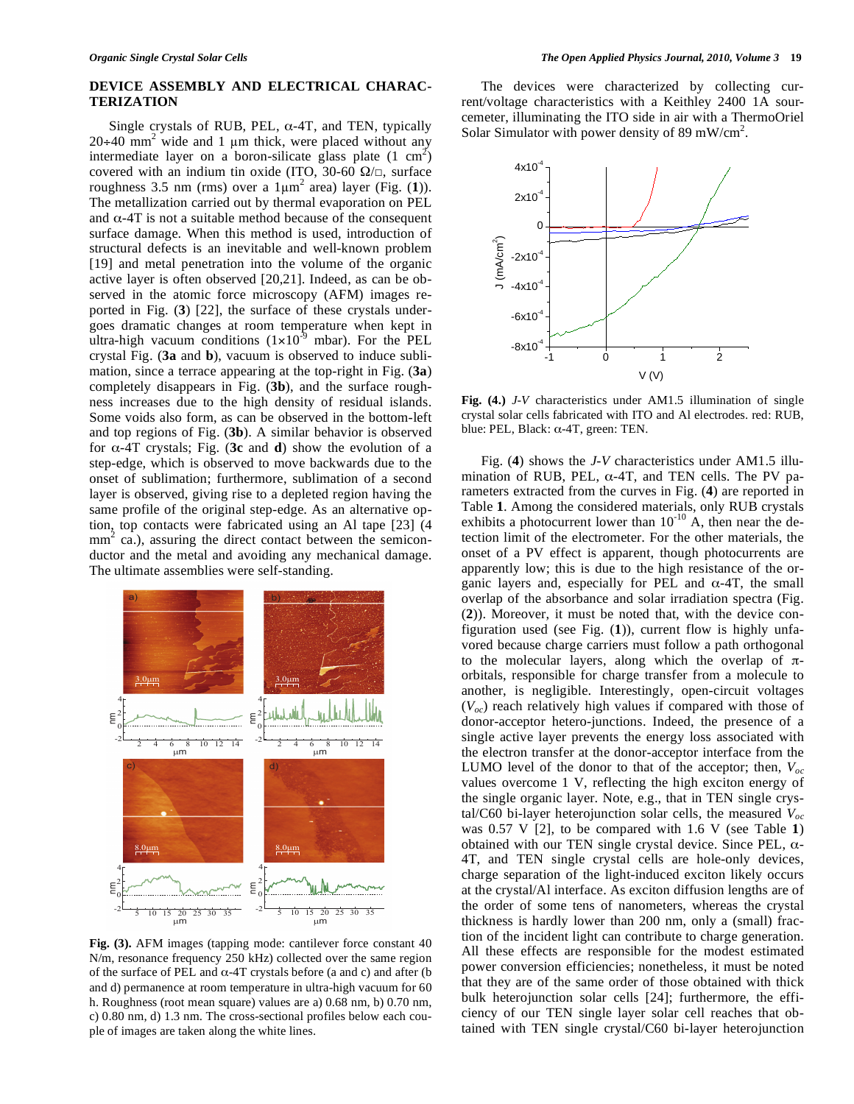## **DEVICE ASSEMBLY AND ELECTRICAL CHARAC-TERIZATION**

Single crystals of RUB, PEL,  $\alpha$ -4T, and TEN, typically  $20+40$  mm<sup>2</sup> wide and 1 µm thick, were placed without any intermediate layer on a boron-silicate glass plate  $(1 \text{ cm}^2)$ covered with an indium tin oxide (ITO, 30-60  $\Omega/\square$ , surface roughness 3.5 nm (rms) over a  $1\mu m^2$  area) layer (Fig. (1)). The metallization carried out by thermal evaporation on PEL and  $\alpha$ -4T is not a suitable method because of the consequent surface damage. When this method is used, introduction of structural defects is an inevitable and well-known problem [19] and metal penetration into the volume of the organic active layer is often observed [20,21]. Indeed, as can be observed in the atomic force microscopy (AFM) images reported in Fig. (**3**) [22], the surface of these crystals undergoes dramatic changes at room temperature when kept in ultra-high vacuum conditions  $(1\times10^{-9}$  mbar). For the PEL crystal Fig. (**3a** and **b**), vacuum is observed to induce sublimation, since a terrace appearing at the top-right in Fig. (**3a**) completely disappears in Fig. (**3b**), and the surface roughness increases due to the high density of residual islands. Some voids also form, as can be observed in the bottom-left and top regions of Fig. (**3b**). A similar behavior is observed for  $\alpha$ -4T crystals; Fig. (3c and d) show the evolution of a step-edge, which is observed to move backwards due to the onset of sublimation; furthermore, sublimation of a second layer is observed, giving rise to a depleted region having the same profile of the original step-edge. As an alternative option, top contacts were fabricated using an Al tape [23] (4  $mm<sup>2</sup>$  ca.), assuring the direct contact between the semiconductor and the metal and avoiding any mechanical damage. The ultimate assemblies were self-standing.



**Fig. (3).** AFM images (tapping mode: cantilever force constant 40 N/m, resonance frequency 250 kHz) collected over the same region of the surface of PEL and  $\alpha$ -4T crystals before (a and c) and after (b and d) permanence at room temperature in ultra-high vacuum for 60 h. Roughness (root mean square) values are a) 0.68 nm, b) 0.70 nm, c) 0.80 nm, d) 1.3 nm. The cross-sectional profiles below each couple of images are taken along the white lines.

The devices were characterized by collecting current/voltage characteristics with a Keithley 2400 1A sourcemeter, illuminating the ITO side in air with a ThermoOriel Solar Simulator with power density of 89 mW/cm<sup>2</sup>.



**Fig. (4.)** *J*-*V* characteristics under AM1.5 illumination of single crystal solar cells fabricated with ITO and Al electrodes. red: RUB, blue: PEL, Black:  $\alpha$ -4T, green: TEN.

Fig. (**4**) shows the *J-V* characteristics under AM1.5 illumination of RUB, PEL,  $\alpha$ -4T, and TEN cells. The PV parameters extracted from the curves in Fig. (**4**) are reported in Table **1**. Among the considered materials, only RUB crystals exhibits a photocurrent lower than  $10^{-10}$  A, then near the detection limit of the electrometer. For the other materials, the onset of a PV effect is apparent, though photocurrents are apparently low; this is due to the high resistance of the organic layers and, especially for PEL and  $\alpha$ -4T, the small overlap of the absorbance and solar irradiation spectra (Fig. (**2**)). Moreover, it must be noted that, with the device configuration used (see Fig. (**1**)), current flow is highly unfavored because charge carriers must follow a path orthogonal to the molecular layers, along which the overlap of  $\pi$ orbitals, responsible for charge transfer from a molecule to another, is negligible. Interestingly, open-circuit voltages  $(V<sub>oc</sub>)$  reach relatively high values if compared with those of donor-acceptor hetero-junctions. Indeed, the presence of a single active layer prevents the energy loss associated with the electron transfer at the donor-acceptor interface from the LUMO level of the donor to that of the acceptor; then, *Voc* values overcome 1 V, reflecting the high exciton energy of the single organic layer. Note, e.g., that in TEN single crystal/C60 bi-layer heterojunction solar cells, the measured *Voc* was 0.57 V [2], to be compared with 1.6 V (see Table **1**) obtained with our TEN single crystal device. Since PEL,  $\alpha$ -4T, and TEN single crystal cells are hole-only devices, charge separation of the light-induced exciton likely occurs at the crystal/Al interface. As exciton diffusion lengths are of the order of some tens of nanometers, whereas the crystal thickness is hardly lower than 200 nm, only a (small) fraction of the incident light can contribute to charge generation. All these effects are responsible for the modest estimated power conversion efficiencies; nonetheless, it must be noted that they are of the same order of those obtained with thick bulk heterojunction solar cells [24]; furthermore, the efficiency of our TEN single layer solar cell reaches that obtained with TEN single crystal/C60 bi-layer heterojunction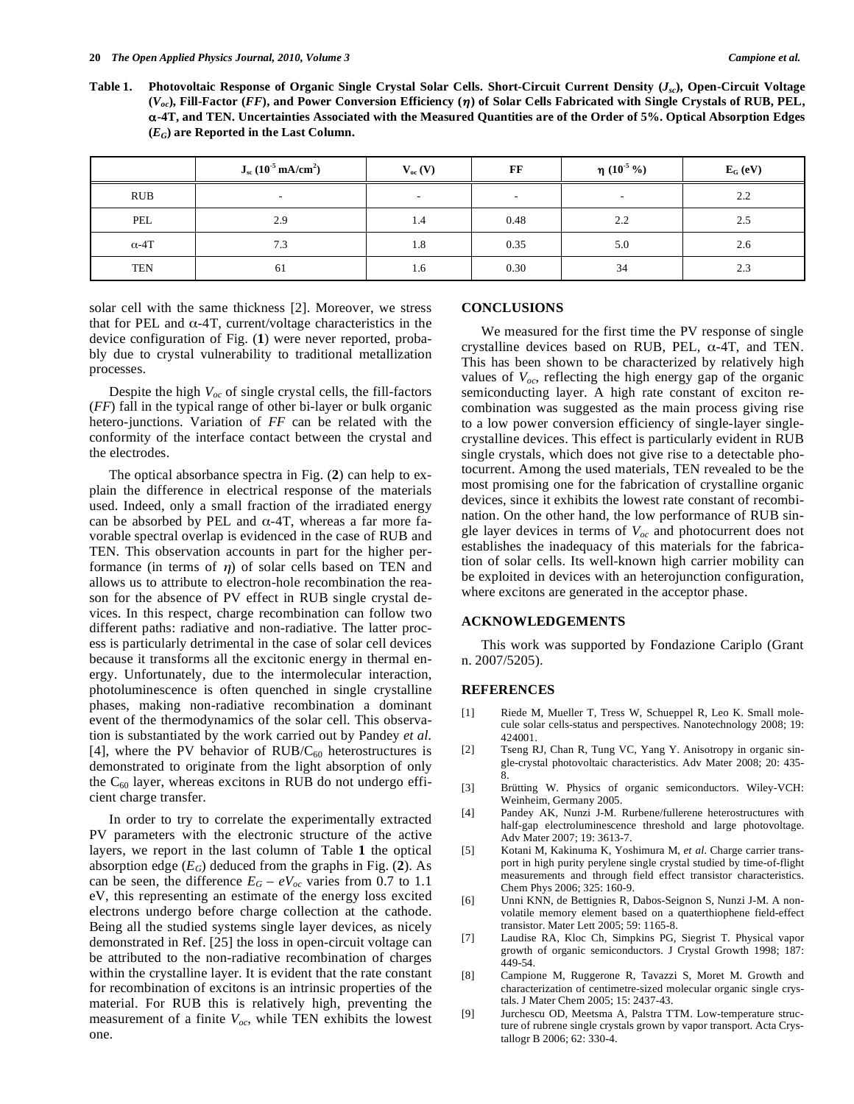**Table 1. Photovoltaic Response of Organic Single Crystal Solar Cells. Short-Circuit Current Density (***Jsc***), Open-Circuit Voltage (***Voc***), Fill-Factor (***FF***), and Power Conversion Efficiency () of Solar Cells Fabricated with Single Crystals of RUB, PEL, -4T, and TEN. Uncertainties Associated with the Measured Quantities are of the Order of 5%. Optical Absorption Edges**   $(E_G)$  are Reported in the Last Column.

|              | $J_{sc}$ (10 <sup>-5</sup> mA/cm <sup>2</sup> ) | $V_{oc}(V)$ | FF                       | η $(10^{-5} %$           | $E_G$ (eV) |
|--------------|-------------------------------------------------|-------------|--------------------------|--------------------------|------------|
| RUB          | $\overline{\phantom{a}}$                        | $\sim$      | $\overline{\phantom{a}}$ | $\overline{\phantom{a}}$ | 2.2        |
| PEL          | 2.9                                             | 1.4         | 0.48                     | 2.2                      | 2.5        |
| $\alpha$ -4T | 7.3                                             | 1.8         | 0.35                     | 5.0                      | 2.6        |
| <b>TEN</b>   | 61                                              | 1.6         | 0.30                     | 34                       | 2.3        |

solar cell with the same thickness [2]. Moreover, we stress that for PEL and  $\alpha$ -4T, current/voltage characteristics in the device configuration of Fig. (**1**) were never reported, probably due to crystal vulnerability to traditional metallization processes.

Despite the high *Voc* of single crystal cells, the fill-factors (*FF*) fall in the typical range of other bi-layer or bulk organic hetero-junctions. Variation of *FF* can be related with the conformity of the interface contact between the crystal and the electrodes.

The optical absorbance spectra in Fig. (**2**) can help to explain the difference in electrical response of the materials used. Indeed, only a small fraction of the irradiated energy can be absorbed by PEL and  $\alpha$ -4T, whereas a far more favorable spectral overlap is evidenced in the case of RUB and TEN. This observation accounts in part for the higher performance (in terms of  $\eta$ ) of solar cells based on TEN and allows us to attribute to electron-hole recombination the reason for the absence of PV effect in RUB single crystal devices. In this respect, charge recombination can follow two different paths: radiative and non-radiative. The latter process is particularly detrimental in the case of solar cell devices because it transforms all the excitonic energy in thermal energy. Unfortunately, due to the intermolecular interaction, photoluminescence is often quenched in single crystalline phases, making non-radiative recombination a dominant event of the thermodynamics of the solar cell. This observation is substantiated by the work carried out by Pandey *et al.* [4], where the PV behavior of  $RUB/C_{60}$  heterostructures is demonstrated to originate from the light absorption of only the  $C_{60}$  layer, whereas excitons in RUB do not undergo efficient charge transfer.

In order to try to correlate the experimentally extracted PV parameters with the electronic structure of the active layers, we report in the last column of Table **1** the optical absorption edge  $(E_G)$  deduced from the graphs in Fig. (2). As can be seen, the difference  $E_G - eV_{oc}$  varies from 0.7 to 1.1 eV, this representing an estimate of the energy loss excited electrons undergo before charge collection at the cathode. Being all the studied systems single layer devices, as nicely demonstrated in Ref. [25] the loss in open-circuit voltage can be attributed to the non-radiative recombination of charges within the crystalline layer. It is evident that the rate constant for recombination of excitons is an intrinsic properties of the material. For RUB this is relatively high, preventing the measurement of a finite *Voc*, while TEN exhibits the lowest one.

#### **CONCLUSIONS**

We measured for the first time the PV response of single crystalline devices based on RUB, PEL,  $\alpha$ -4T, and TEN. This has been shown to be characterized by relatively high values of  $V_{oc}$ , reflecting the high energy gap of the organic semiconducting layer. A high rate constant of exciton recombination was suggested as the main process giving rise to a low power conversion efficiency of single-layer singlecrystalline devices. This effect is particularly evident in RUB single crystals, which does not give rise to a detectable photocurrent. Among the used materials, TEN revealed to be the most promising one for the fabrication of crystalline organic devices, since it exhibits the lowest rate constant of recombination. On the other hand, the low performance of RUB single layer devices in terms of  $V_{oc}$  and photocurrent does not establishes the inadequacy of this materials for the fabrication of solar cells. Its well-known high carrier mobility can be exploited in devices with an heterojunction configuration, where excitons are generated in the acceptor phase.

## **ACKNOWLEDGEMENTS**

This work was supported by Fondazione Cariplo (Grant n. 2007/5205).

### **REFERENCES**

- [1] Riede M, Mueller T, Tress W, Schueppel R, Leo K. Small molecule solar cells-status and perspectives. Nanotechnology 2008; 19: 424001.
- [2] Tseng RJ, Chan R, Tung VC, Yang Y. Anisotropy in organic single-crystal photovoltaic characteristics. Adv Mater 2008; 20: 435- 8.
- [3] Brütting W. Physics of organic semiconductors. Wiley-VCH: Weinheim, Germany 2005.
- [4] Pandey AK, Nunzi J-M. Rurbene/fullerene heterostructures with half-gap electroluminescence threshold and large photovoltage. Adv Mater 2007; 19: 3613-7.
- [5] Kotani M, Kakinuma K, Yoshimura M, *et al*. Charge carrier transport in high purity perylene single crystal studied by time-of-flight measurements and through field effect transistor characteristics. Chem Phys 2006; 325: 160-9.
- [6] Unni KNN, de Bettignies R, Dabos-Seignon S, Nunzi J-M. A nonvolatile memory element based on a quaterthiophene field-effect transistor. Mater Lett 2005; 59: 1165-8.
- [7] Laudise RA, Kloc Ch, Simpkins PG, Siegrist T. Physical vapor growth of organic semiconductors. J Crystal Growth 1998; 187: 449-54.
- [8] Campione M, Ruggerone R, Tavazzi S, Moret M. Growth and characterization of centimetre-sized molecular organic single crystals. J Mater Chem 2005; 15: 2437-43.
- [9] Jurchescu OD, Meetsma A, Palstra TTM. Low-temperature structure of rubrene single crystals grown by vapor transport. Acta Crystallogr B 2006; 62: 330-4.